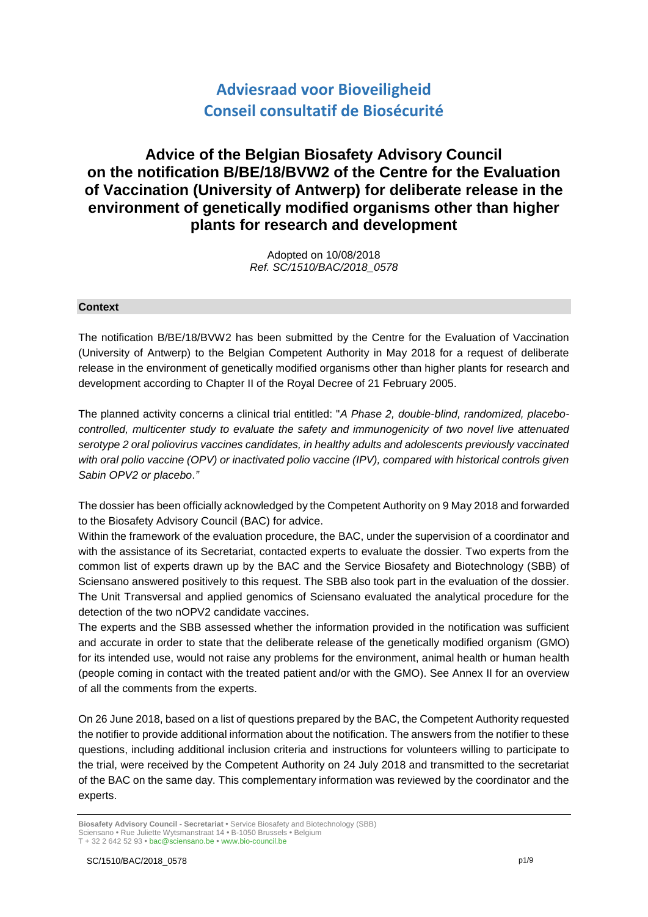# **Adviesraad voor Bioveiligheid Conseil consultatif de Biosécurité**

## **Advice of the Belgian Biosafety Advisory Council on the notification B/BE/18/BVW2 of the Centre for the Evaluation of Vaccination (University of Antwerp) for deliberate release in the environment of genetically modified organisms other than higher plants for research and development**

Adopted on 10/08/2018 *Ref. SC/1510/BAC/2018\_0578*

#### **Context**

The notification B/BE/18/BVW2 has been submitted by the Centre for the Evaluation of Vaccination (University of Antwerp) to the Belgian Competent Authority in May 2018 for a request of deliberate release in the environment of genetically modified organisms other than higher plants for research and development according to Chapter II of the Royal Decree of 21 February 2005.

The planned activity concerns a clinical trial entitled: "*A Phase 2, double-blind, randomized, placebocontrolled, multicenter study to evaluate the safety and immunogenicity of two novel live attenuated serotype 2 oral poliovirus vaccines candidates, in healthy adults and adolescents previously vaccinated with oral polio vaccine (OPV) or inactivated polio vaccine (IPV), compared with historical controls given Sabin OPV2 or placebo*.*"* 

The dossier has been officially acknowledged by the Competent Authority on 9 May 2018 and forwarded to the Biosafety Advisory Council (BAC) for advice.

Within the framework of the evaluation procedure, the BAC, under the supervision of a coordinator and with the assistance of its Secretariat, contacted experts to evaluate the dossier. Two experts from the common list of experts drawn up by the BAC and the Service Biosafety and Biotechnology (SBB) of Sciensano answered positively to this request. The SBB also took part in the evaluation of the dossier. The Unit Transversal and applied genomics of Sciensano evaluated the analytical procedure for the detection of the two nOPV2 candidate vaccines.

The experts and the SBB assessed whether the information provided in the notification was sufficient and accurate in order to state that the deliberate release of the genetically modified organism (GMO) for its intended use, would not raise any problems for the environment, animal health or human health (people coming in contact with the treated patient and/or with the GMO). See Annex II for an overview of all the comments from the experts.

On 26 June 2018, based on a list of questions prepared by the BAC, the Competent Authority requested the notifier to provide additional information about the notification. The answers from the notifier to these questions, including additional inclusion criteria and instructions for volunteers willing to participate to the trial, were received by the Competent Authority on 24 July 2018 and transmitted to the secretariat of the BAC on the same day. This complementary information was reviewed by the coordinator and the experts.

**Biosafety Advisory Council - Secretariat •** Service Biosafety and Biotechnology (SBB) Sciensano **•** Rue Juliette Wytsmanstraat 14 **•** B-1050 Brussels **•** Belgium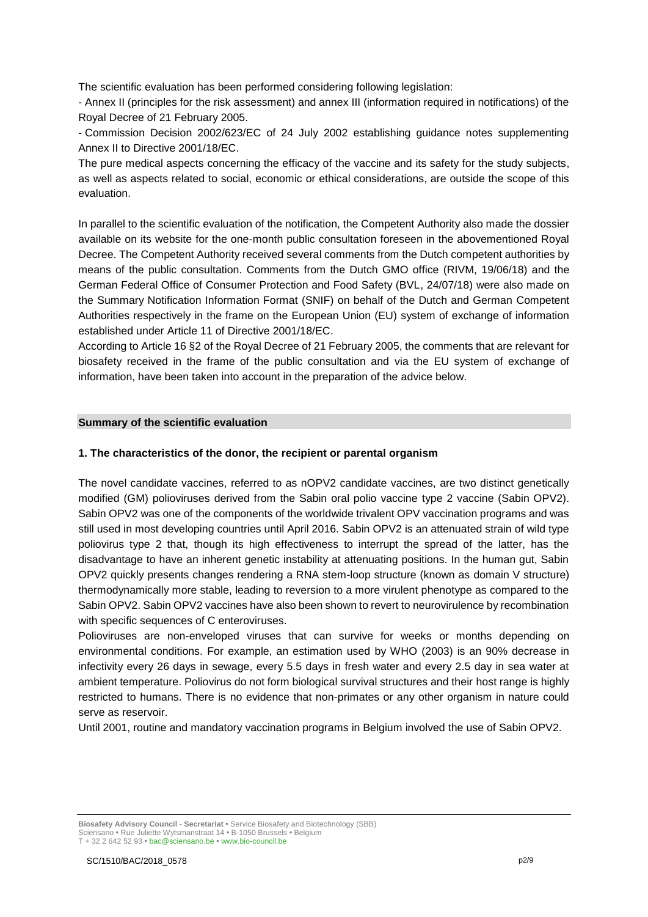The scientific evaluation has been performed considering following legislation:

- Annex II (principles for the risk assessment) and annex III (information required in notifications) of the Royal Decree of 21 February 2005.

- Commission Decision 2002/623/EC of 24 July 2002 establishing guidance notes supplementing Annex II to Directive 2001/18/EC.

The pure medical aspects concerning the efficacy of the vaccine and its safety for the study subjects, as well as aspects related to social, economic or ethical considerations, are outside the scope of this evaluation.

In parallel to the scientific evaluation of the notification, the Competent Authority also made the dossier available on its website for the one-month public consultation foreseen in the abovementioned Royal Decree. The Competent Authority received several comments from the Dutch competent authorities by means of the public consultation. Comments from the Dutch GMO office (RIVM, 19/06/18) and the German Federal Office of Consumer Protection and Food Safety (BVL, 24/07/18) were also made on the Summary Notification Information Format (SNIF) on behalf of the Dutch and German Competent Authorities respectively in the frame on the European Union (EU) system of exchange of information established under Article 11 of Directive 2001/18/EC.

According to Article 16 §2 of the Royal Decree of 21 February 2005, the comments that are relevant for biosafety received in the frame of the public consultation and via the EU system of exchange of information, have been taken into account in the preparation of the advice below.

#### **Summary of the scientific evaluation**

#### **1. The characteristics of the donor, the recipient or parental organism**

The novel candidate vaccines, referred to as nOPV2 candidate vaccines, are two distinct genetically modified (GM) polioviruses derived from the Sabin oral polio vaccine type 2 vaccine (Sabin OPV2). Sabin OPV2 was one of the components of the worldwide trivalent OPV vaccination programs and was still used in most developing countries until April 2016. Sabin OPV2 is an attenuated strain of wild type poliovirus type 2 that, though its high effectiveness to interrupt the spread of the latter, has the disadvantage to have an inherent genetic instability at attenuating positions. In the human gut, Sabin OPV2 quickly presents changes rendering a RNA stem-loop structure (known as domain V structure) thermodynamically more stable, leading to reversion to a more virulent phenotype as compared to the Sabin OPV2. Sabin OPV2 vaccines have also been shown to revert to neurovirulence by recombination with specific sequences of C enteroviruses.

Polioviruses are non-enveloped viruses that can survive for weeks or months depending on environmental conditions. For example, an estimation used by WHO (2003) is an 90% decrease in infectivity every 26 days in sewage, every 5.5 days in fresh water and every 2.5 day in sea water at ambient temperature. Poliovirus do not form biological survival structures and their host range is highly restricted to humans. There is no evidence that non-primates or any other organism in nature could serve as reservoir.

Until 2001, routine and mandatory vaccination programs in Belgium involved the use of Sabin OPV2.

**Biosafety Advisory Council - Secretariat •** Service Biosafety and Biotechnology (SBB) Sciensano **•** Rue Juliette Wytsmanstraat 14 **•** B-1050 Brussels **•** Belgium T + 32 2 642 52 93 **•** bac@sciensano.be **•** www.bio-council.be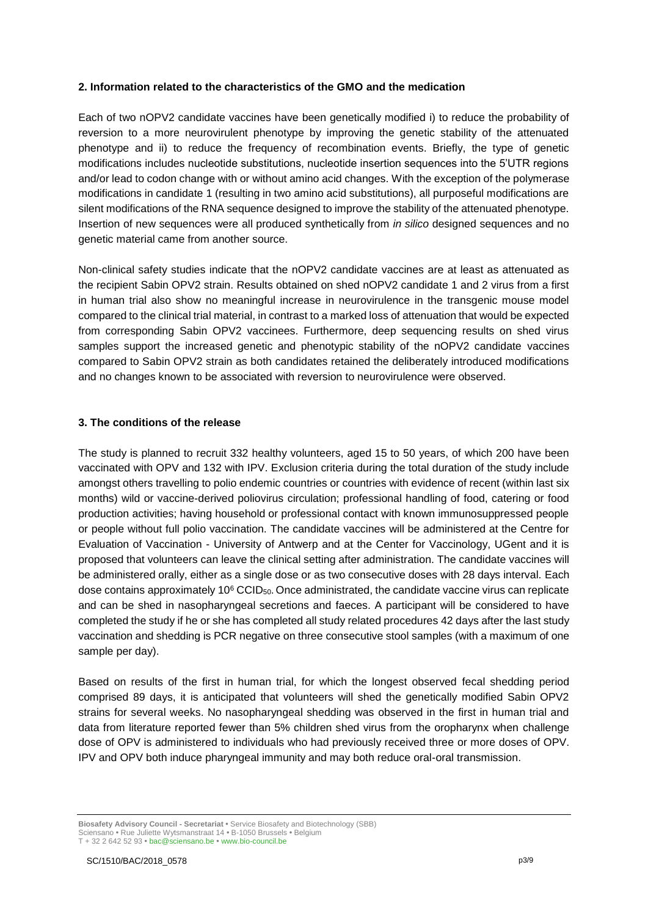#### **2. Information related to the characteristics of the GMO and the medication**

Each of two nOPV2 candidate vaccines have been genetically modified i) to reduce the probability of reversion to a more neurovirulent phenotype by improving the genetic stability of the attenuated phenotype and ii) to reduce the frequency of recombination events. Briefly, the type of genetic modifications includes nucleotide substitutions, nucleotide insertion sequences into the 5'UTR regions and/or lead to codon change with or without amino acid changes. With the exception of the polymerase modifications in candidate 1 (resulting in two amino acid substitutions), all purposeful modifications are silent modifications of the RNA sequence designed to improve the stability of the attenuated phenotype. Insertion of new sequences were all produced synthetically from *in silico* designed sequences and no genetic material came from another source.

Non-clinical safety studies indicate that the nOPV2 candidate vaccines are at least as attenuated as the recipient Sabin OPV2 strain. Results obtained on shed nOPV2 candidate 1 and 2 virus from a first in human trial also show no meaningful increase in neurovirulence in the transgenic mouse model compared to the clinical trial material, in contrast to a marked loss of attenuation that would be expected from corresponding Sabin OPV2 vaccinees. Furthermore, deep sequencing results on shed virus samples support the increased genetic and phenotypic stability of the nOPV2 candidate vaccines compared to Sabin OPV2 strain as both candidates retained the deliberately introduced modifications and no changes known to be associated with reversion to neurovirulence were observed.

#### **3. The conditions of the release**

The study is planned to recruit 332 healthy volunteers, aged 15 to 50 years, of which 200 have been vaccinated with OPV and 132 with IPV. Exclusion criteria during the total duration of the study include amongst others travelling to polio endemic countries or countries with evidence of recent (within last six months) wild or vaccine-derived poliovirus circulation; professional handling of food, catering or food production activities; having household or professional contact with known immunosuppressed people or people without full polio vaccination. The candidate vaccines will be administered at the Centre for Evaluation of Vaccination - University of Antwerp and at the Center for Vaccinology, UGent and it is proposed that volunteers can leave the clinical setting after administration. The candidate vaccines will be administered orally, either as a single dose or as two consecutive doses with 28 days interval. Each dose contains approximately  $10^6$  CCID<sub>50</sub>. Once administrated, the candidate vaccine virus can replicate and can be shed in nasopharyngeal secretions and faeces. A participant will be considered to have completed the study if he or she has completed all study related procedures 42 days after the last study vaccination and shedding is PCR negative on three consecutive stool samples (with a maximum of one sample per day).

Based on results of the first in human trial, for which the longest observed fecal shedding period comprised 89 days, it is anticipated that volunteers will shed the genetically modified Sabin OPV2 strains for several weeks. No nasopharyngeal shedding was observed in the first in human trial and data from literature reported fewer than 5% children shed virus from the oropharynx when challenge dose of OPV is administered to individuals who had previously received three or more doses of OPV. IPV and OPV both induce pharyngeal immunity and may both reduce oral-oral transmission.

**Biosafety Advisory Council - Secretariat •** Service Biosafety and Biotechnology (SBB) Sciensano **•** Rue Juliette Wytsmanstraat 14 **•** B-1050 Brussels **•** Belgium T + 32 2 642 52 93 **•** bac@sciensano.be **•** www.bio-council.be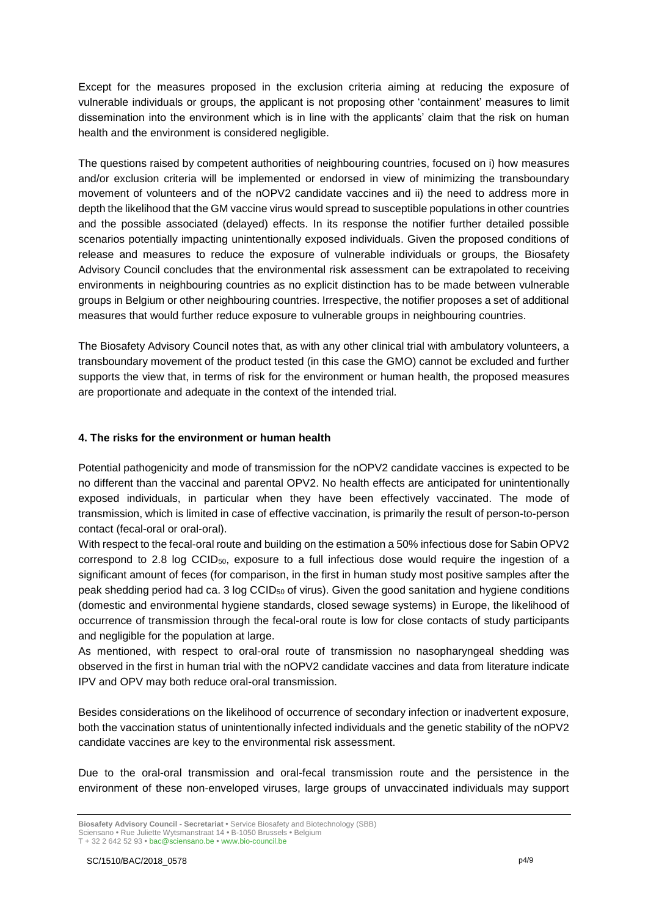Except for the measures proposed in the exclusion criteria aiming at reducing the exposure of vulnerable individuals or groups, the applicant is not proposing other 'containment' measures to limit dissemination into the environment which is in line with the applicants' claim that the risk on human health and the environment is considered negligible.

The questions raised by competent authorities of neighbouring countries, focused on i) how measures and/or exclusion criteria will be implemented or endorsed in view of minimizing the transboundary movement of volunteers and of the nOPV2 candidate vaccines and ii) the need to address more in depth the likelihood that the GM vaccine virus would spread to susceptible populations in other countries and the possible associated (delayed) effects. In its response the notifier further detailed possible scenarios potentially impacting unintentionally exposed individuals. Given the proposed conditions of release and measures to reduce the exposure of vulnerable individuals or groups, the Biosafety Advisory Council concludes that the environmental risk assessment can be extrapolated to receiving environments in neighbouring countries as no explicit distinction has to be made between vulnerable groups in Belgium or other neighbouring countries. Irrespective, the notifier proposes a set of additional measures that would further reduce exposure to vulnerable groups in neighbouring countries.

The Biosafety Advisory Council notes that, as with any other clinical trial with ambulatory volunteers, a transboundary movement of the product tested (in this case the GMO) cannot be excluded and further supports the view that, in terms of risk for the environment or human health, the proposed measures are proportionate and adequate in the context of the intended trial.

## **4. The risks for the environment or human health**

Potential pathogenicity and mode of transmission for the nOPV2 candidate vaccines is expected to be no different than the vaccinal and parental OPV2. No health effects are anticipated for unintentionally exposed individuals, in particular when they have been effectively vaccinated. The mode of transmission, which is limited in case of effective vaccination, is primarily the result of person-to-person contact (fecal-oral or oral-oral).

With respect to the fecal-oral route and building on the estimation a 50% infectious dose for Sabin OPV2 correspond to 2.8 log  $CCD_{50}$ , exposure to a full infectious dose would require the ingestion of a significant amount of feces (for comparison, in the first in human study most positive samples after the peak shedding period had ca. 3 log CCID<sup>50</sup> of virus). Given the good sanitation and hygiene conditions (domestic and environmental hygiene standards, closed sewage systems) in Europe, the likelihood of occurrence of transmission through the fecal-oral route is low for close contacts of study participants and negligible for the population at large.

As mentioned, with respect to oral-oral route of transmission no nasopharyngeal shedding was observed in the first in human trial with the nOPV2 candidate vaccines and data from literature indicate IPV and OPV may both reduce oral-oral transmission.

Besides considerations on the likelihood of occurrence of secondary infection or inadvertent exposure, both the vaccination status of unintentionally infected individuals and the genetic stability of the nOPV2 candidate vaccines are key to the environmental risk assessment.

Due to the oral-oral transmission and oral-fecal transmission route and the persistence in the environment of these non-enveloped viruses, large groups of unvaccinated individuals may support

**Biosafety Advisory Council - Secretariat •** Service Biosafety and Biotechnology (SBB)

Sciensano **•** Rue Juliette Wytsmanstraat 14 **•** B-1050 Brussels **•** Belgium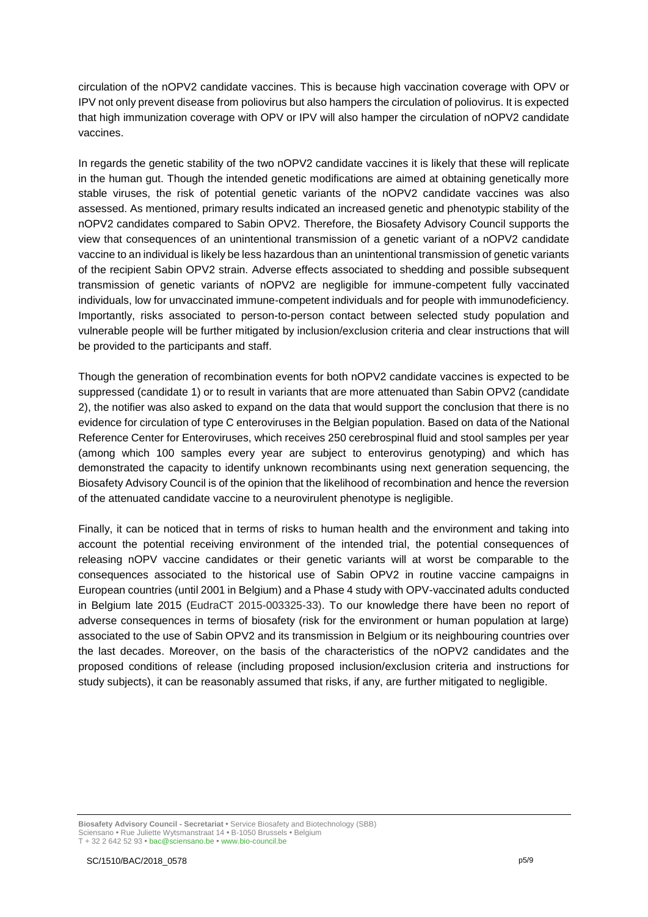circulation of the nOPV2 candidate vaccines. This is because high vaccination coverage with OPV or IPV not only prevent disease from poliovirus but also hampers the circulation of poliovirus. It is expected that high immunization coverage with OPV or IPV will also hamper the circulation of nOPV2 candidate vaccines.

In regards the genetic stability of the two nOPV2 candidate vaccines it is likely that these will replicate in the human gut. Though the intended genetic modifications are aimed at obtaining genetically more stable viruses, the risk of potential genetic variants of the nOPV2 candidate vaccines was also assessed. As mentioned, primary results indicated an increased genetic and phenotypic stability of the nOPV2 candidates compared to Sabin OPV2. Therefore, the Biosafety Advisory Council supports the view that consequences of an unintentional transmission of a genetic variant of a nOPV2 candidate vaccine to an individual is likely be less hazardous than an unintentional transmission of genetic variants of the recipient Sabin OPV2 strain. Adverse effects associated to shedding and possible subsequent transmission of genetic variants of nOPV2 are negligible for immune-competent fully vaccinated individuals, low for unvaccinated immune-competent individuals and for people with immunodeficiency. Importantly, risks associated to person-to-person contact between selected study population and vulnerable people will be further mitigated by inclusion/exclusion criteria and clear instructions that will be provided to the participants and staff.

Though the generation of recombination events for both nOPV2 candidate vaccines is expected to be suppressed (candidate 1) or to result in variants that are more attenuated than Sabin OPV2 (candidate 2), the notifier was also asked to expand on the data that would support the conclusion that there is no evidence for circulation of type C enteroviruses in the Belgian population. Based on data of the National Reference Center for Enteroviruses, which receives 250 cerebrospinal fluid and stool samples per year (among which 100 samples every year are subject to enterovirus genotyping) and which has demonstrated the capacity to identify unknown recombinants using next generation sequencing, the Biosafety Advisory Council is of the opinion that the likelihood of recombination and hence the reversion of the attenuated candidate vaccine to a neurovirulent phenotype is negligible.

Finally, it can be noticed that in terms of risks to human health and the environment and taking into account the potential receiving environment of the intended trial, the potential consequences of releasing nOPV vaccine candidates or their genetic variants will at worst be comparable to the consequences associated to the historical use of Sabin OPV2 in routine vaccine campaigns in European countries (until 2001 in Belgium) and a Phase 4 study with OPV-vaccinated adults conducted in Belgium late 2015 (EudraCT 2015-003325-33). To our knowledge there have been no report of adverse consequences in terms of biosafety (risk for the environment or human population at large) associated to the use of Sabin OPV2 and its transmission in Belgium or its neighbouring countries over the last decades. Moreover, on the basis of the characteristics of the nOPV2 candidates and the proposed conditions of release (including proposed inclusion/exclusion criteria and instructions for study subjects), it can be reasonably assumed that risks, if any, are further mitigated to negligible.

**Biosafety Advisory Council - Secretariat •** Service Biosafety and Biotechnology (SBB) Sciensano **•** Rue Juliette Wytsmanstraat 14 **•** B-1050 Brussels **•** Belgium T + 32 2 642 52 93 **•** bac@sciensano.be **•** www.bio-council.be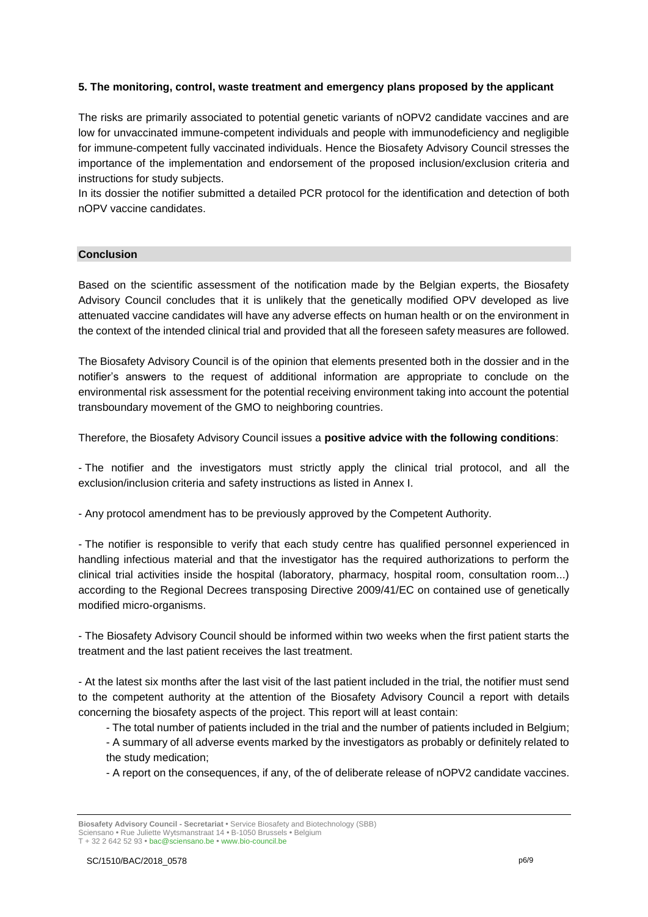## **5. The monitoring, control, waste treatment and emergency plans proposed by the applicant**

The risks are primarily associated to potential genetic variants of nOPV2 candidate vaccines and are low for unvaccinated immune-competent individuals and people with immunodeficiency and negligible for immune-competent fully vaccinated individuals. Hence the Biosafety Advisory Council stresses the importance of the implementation and endorsement of the proposed inclusion/exclusion criteria and instructions for study subjects.

In its dossier the notifier submitted a detailed PCR protocol for the identification and detection of both nOPV vaccine candidates.

#### **Conclusion**

Based on the scientific assessment of the notification made by the Belgian experts, the Biosafety Advisory Council concludes that it is unlikely that the genetically modified OPV developed as live attenuated vaccine candidates will have any adverse effects on human health or on the environment in the context of the intended clinical trial and provided that all the foreseen safety measures are followed.

The Biosafety Advisory Council is of the opinion that elements presented both in the dossier and in the notifier's answers to the request of additional information are appropriate to conclude on the environmental risk assessment for the potential receiving environment taking into account the potential transboundary movement of the GMO to neighboring countries.

Therefore, the Biosafety Advisory Council issues a **positive advice with the following conditions**:

- The notifier and the investigators must strictly apply the clinical trial protocol, and all the exclusion/inclusion criteria and safety instructions as listed in Annex I.

- Any protocol amendment has to be previously approved by the Competent Authority.

- The notifier is responsible to verify that each study centre has qualified personnel experienced in handling infectious material and that the investigator has the required authorizations to perform the clinical trial activities inside the hospital (laboratory, pharmacy, hospital room, consultation room...) according to the Regional Decrees transposing Directive 2009/41/EC on contained use of genetically modified micro-organisms.

- The Biosafety Advisory Council should be informed within two weeks when the first patient starts the treatment and the last patient receives the last treatment.

- At the latest six months after the last visit of the last patient included in the trial, the notifier must send to the competent authority at the attention of the Biosafety Advisory Council a report with details concerning the biosafety aspects of the project. This report will at least contain:

- The total number of patients included in the trial and the number of patients included in Belgium;
- A summary of all adverse events marked by the investigators as probably or definitely related to the study medication;
- A report on the consequences, if any, of the of deliberate release of nOPV2 candidate vaccines.

**Biosafety Advisory Council - Secretariat •** Service Biosafety and Biotechnology (SBB) Sciensano **•** Rue Juliette Wytsmanstraat 14 **•** B-1050 Brussels **•** Belgium T + 32 2 642 52 93 **•** bac@sciensano.be **•** www.bio-council.be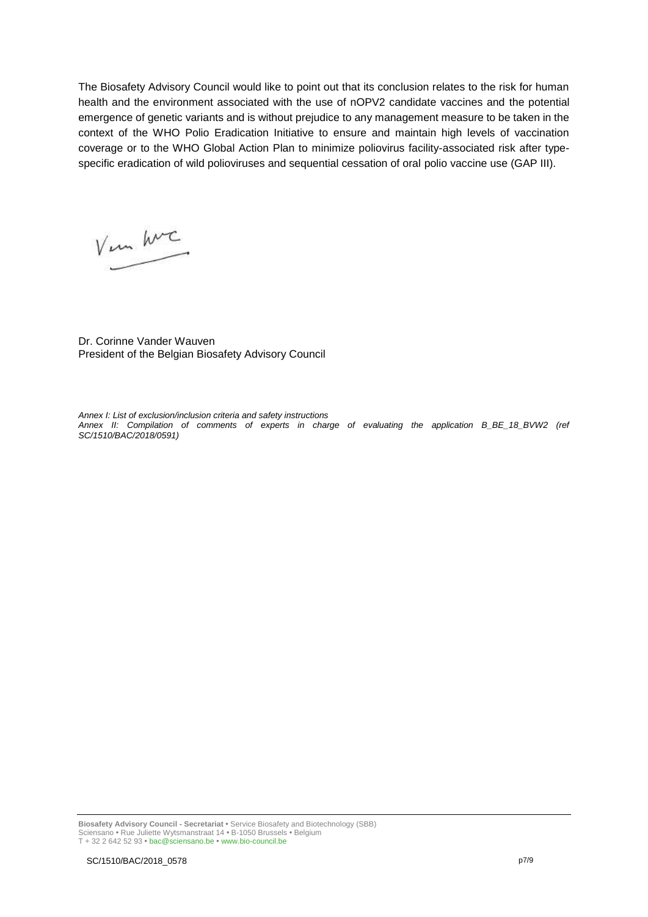The Biosafety Advisory Council would like to point out that its conclusion relates to the risk for human health and the environment associated with the use of nOPV2 candidate vaccines and the potential emergence of genetic variants and is without prejudice to any management measure to be taken in the context of the WHO Polio Eradication Initiative to ensure and maintain high levels of vaccination coverage or to the WHO Global Action Plan to minimize poliovirus facility-associated risk after typespecific eradication of wild polioviruses and sequential cessation of oral polio vaccine use (GAP III).

V un hvc

Dr. Corinne Vander Wauven President of the Belgian Biosafety Advisory Council

*Annex I: List of exclusion/inclusion criteria and safety instructions Annex II: Compilation of comments of experts in charge of evaluating the application B\_BE\_18\_BVW2 (ref SC/1510/BAC/2018/0591)*

**Biosafety Advisory Council - Secretariat •** Service Biosafety and Biotechnology (SBB) Sciensano **•** Rue Juliette Wytsmanstraat 14 **•** B-1050 Brussels **•** Belgium T + 32 2 642 52 93 **•** bac@sciensano.be **•** www.bio-council.be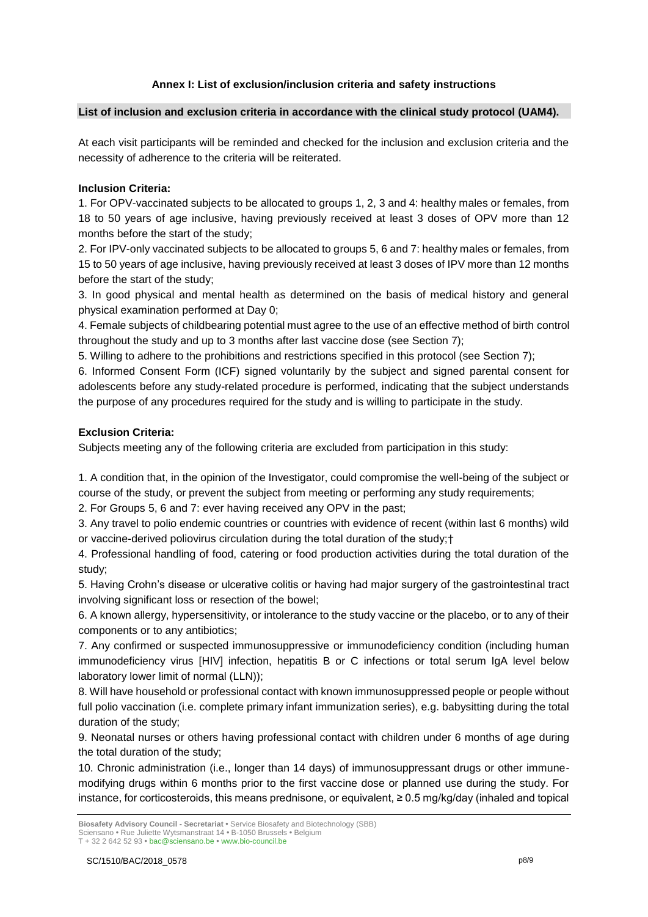## **Annex I: List of exclusion/inclusion criteria and safety instructions**

#### **List of inclusion and exclusion criteria in accordance with the clinical study protocol (UAM4).**

At each visit participants will be reminded and checked for the inclusion and exclusion criteria and the necessity of adherence to the criteria will be reiterated.

## **Inclusion Criteria:**

1. For OPV-vaccinated subjects to be allocated to groups 1, 2, 3 and 4: healthy males or females, from 18 to 50 years of age inclusive, having previously received at least 3 doses of OPV more than 12 months before the start of the study;

2. For IPV-only vaccinated subjects to be allocated to groups 5, 6 and 7: healthy males or females, from 15 to 50 years of age inclusive, having previously received at least 3 doses of IPV more than 12 months before the start of the study;

3. In good physical and mental health as determined on the basis of medical history and general physical examination performed at Day 0;

4. Female subjects of childbearing potential must agree to the use of an effective method of birth control throughout the study and up to 3 months after last vaccine dose (see Section 7);

5. Willing to adhere to the prohibitions and restrictions specified in this protocol (see Section 7);

6. Informed Consent Form (ICF) signed voluntarily by the subject and signed parental consent for adolescents before any study-related procedure is performed, indicating that the subject understands the purpose of any procedures required for the study and is willing to participate in the study.

## **Exclusion Criteria:**

Subjects meeting any of the following criteria are excluded from participation in this study:

1. A condition that, in the opinion of the Investigator, could compromise the well-being of the subject or course of the study, or prevent the subject from meeting or performing any study requirements;

2. For Groups 5, 6 and 7: ever having received any OPV in the past;

3. Any travel to polio endemic countries or countries with evidence of recent (within last 6 months) wild or vaccine-derived poliovirus circulation during the total duration of the study;†

4. Professional handling of food, catering or food production activities during the total duration of the study;

5. Having Crohn's disease or ulcerative colitis or having had major surgery of the gastrointestinal tract involving significant loss or resection of the bowel;

6. A known allergy, hypersensitivity, or intolerance to the study vaccine or the placebo, or to any of their components or to any antibiotics;

7. Any confirmed or suspected immunosuppressive or immunodeficiency condition (including human immunodeficiency virus [HIV] infection, hepatitis B or C infections or total serum IgA level below laboratory lower limit of normal (LLN));

8. Will have household or professional contact with known immunosuppressed people or people without full polio vaccination (i.e. complete primary infant immunization series), e.g. babysitting during the total duration of the study;

9. Neonatal nurses or others having professional contact with children under 6 months of age during the total duration of the study;

10. Chronic administration (i.e., longer than 14 days) of immunosuppressant drugs or other immunemodifying drugs within 6 months prior to the first vaccine dose or planned use during the study. For instance, for corticosteroids, this means prednisone, or equivalent, ≥ 0.5 mg/kg/day (inhaled and topical

**Biosafety Advisory Council - Secretariat •** Service Biosafety and Biotechnology (SBB)

Sciensano **•** Rue Juliette Wytsmanstraat 14 **•** B-1050 Brussels **•** Belgium

T + 32 2 642 52 93 **•** bac@sciensano.be **•** www.bio-council.be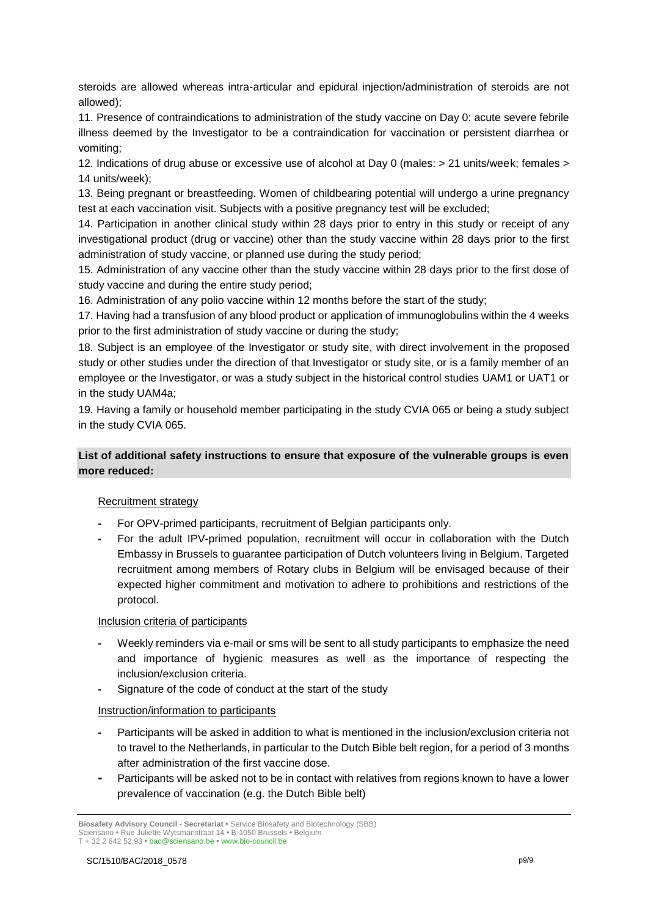steroids are allowed whereas intra-articular and epidural injection/administration of steroids are not allowed);

11. Presence of contraindications to administration of the study vaccine on Day 0: acute severe febrile illness deemed by the Investigator to be a contraindication for vaccination or persistent diarrhea or vomiting;

12. Indications of drug abuse or excessive use of alcohol at Day 0 (males: > 21 units/week; females > 14 units/week);

13. Being pregnant or breastfeeding. Women of childbearing potential will undergo a urine pregnancy test at each vaccination visit. Subjects with a positive pregnancy test will be excluded;

14. Participation in another clinical study within 28 days prior to entry in this study or receipt of any investigational product (drug or vaccine) other than the study vaccine within 28 days prior to the first administration of study vaccine, or planned use during the study period;

15. Administration of any vaccine other than the study vaccine within 28 days prior to the first dose of study vaccine and during the entire study period;

16. Administration of any polio vaccine within 12 months before the start of the study;

17. Having had a transfusion of any blood product or application of immunoglobulins within the 4 weeks prior to the first administration of study vaccine or during the study;

18. Subject is an employee of the Investigator or study site, with direct involvement in the proposed study or other studies under the direction of that Investigator or study site, or is a family member of an employee or the Investigator, or was a study subject in the historical control studies UAM1 or UAT1 or in the study UAM4a;

19. Having a family or household member participating in the study CVIA 065 or being a study subject in the study CVIA 065.

## **List of additional safety instructions to ensure that exposure of the vulnerable groups is even more reduced:**

## Recruitment strategy

- **-** For OPV-primed participants, recruitment of Belgian participants only.
- **-** For the adult IPV-primed population, recruitment will occur in collaboration with the Dutch Embassy in Brussels to guarantee participation of Dutch volunteers living in Belgium. Targeted recruitment among members of Rotary clubs in Belgium will be envisaged because of their expected higher commitment and motivation to adhere to prohibitions and restrictions of the protocol.

#### Inclusion criteria of participants

- **-** Weekly reminders via e-mail or sms will be sent to all study participants to emphasize the need and importance of hygienic measures as well as the importance of respecting the inclusion/exclusion criteria.
- **-** Signature of the code of conduct at the start of the study

#### Instruction/information to participants

- **-** Participants will be asked in addition to what is mentioned in the inclusion/exclusion criteria not to travel to the Netherlands, in particular to the Dutch Bible belt region, for a period of 3 months after administration of the first vaccine dose.
- **-** Participants will be asked not to be in contact with relatives from regions known to have a lower prevalence of vaccination (e.g. the Dutch Bible belt)

**Biosafety Advisory Council - Secretariat •** Service Biosafety and Biotechnology (SBB) Sciensano **•** Rue Juliette Wytsmanstraat 14 **•** B-1050 Brussels **•** Belgium T + 32 2 642 52 93 **•** bac@sciensano.be **•** www.bio-council.be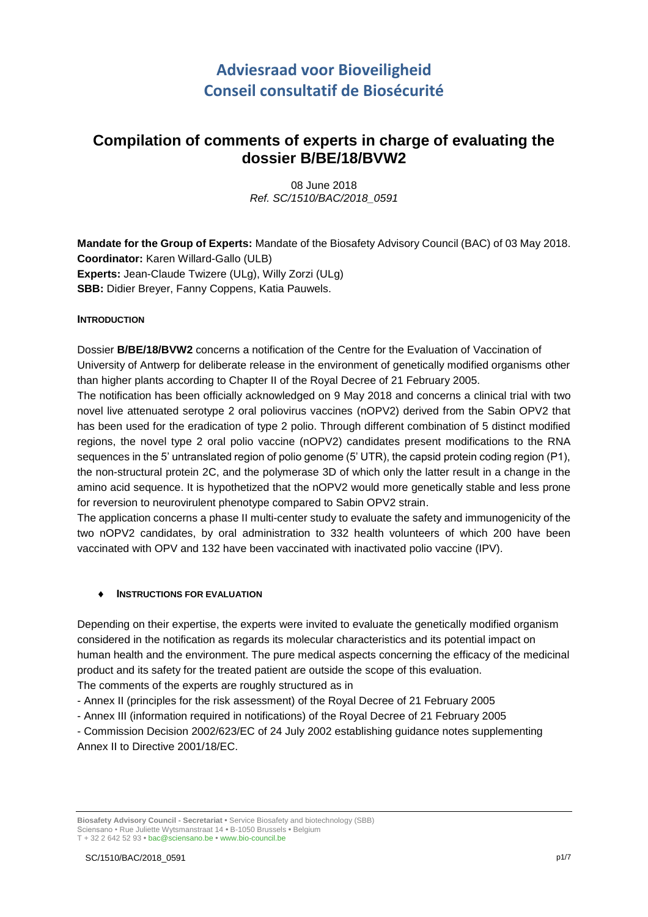# **Adviesraad voor Bioveiligheid Conseil consultatif de Biosécurité**

## **Compilation of comments of experts in charge of evaluating the dossier B/BE/18/BVW2**

08 June 2018 *Ref. SC/1510/BAC/2018\_0591*

**Mandate for the Group of Experts:** Mandate of the Biosafety Advisory Council (BAC) of 03 May 2018. **Coordinator:** Karen Willard-Gallo (ULB) **Experts:** Jean-Claude Twizere (ULg), Willy Zorzi (ULg) **SBB:** Didier Breyer, Fanny Coppens, Katia Pauwels.

## **INTRODUCTION**

Dossier **B/BE/18/BVW2** concerns a notification of the Centre for the Evaluation of Vaccination of University of Antwerp for deliberate release in the environment of genetically modified organisms other than higher plants according to Chapter II of the Royal Decree of 21 February 2005.

The notification has been officially acknowledged on 9 May 2018 and concerns a clinical trial with two novel live attenuated serotype 2 oral poliovirus vaccines (nOPV2) derived from the Sabin OPV2 that has been used for the eradication of type 2 polio. Through different combination of 5 distinct modified regions, the novel type 2 oral polio vaccine (nOPV2) candidates present modifications to the RNA sequences in the 5' untranslated region of polio genome (5' UTR), the capsid protein coding region (P1), the non-structural protein 2C, and the polymerase 3D of which only the latter result in a change in the amino acid sequence. It is hypothetized that the nOPV2 would more genetically stable and less prone for reversion to neurovirulent phenotype compared to Sabin OPV2 strain.

The application concerns a phase II multi-center study to evaluate the safety and immunogenicity of the two nOPV2 candidates, by oral administration to 332 health volunteers of which 200 have been vaccinated with OPV and 132 have been vaccinated with inactivated polio vaccine (IPV).

#### **INSTRUCTIONS FOR EVALUATION**

Depending on their expertise, the experts were invited to evaluate the genetically modified organism considered in the notification as regards its molecular characteristics and its potential impact on human health and the environment. The pure medical aspects concerning the efficacy of the medicinal product and its safety for the treated patient are outside the scope of this evaluation.

The comments of the experts are roughly structured as in

- Annex II (principles for the risk assessment) of the Royal Decree of 21 February 2005
- Annex III (information required in notifications) of the Royal Decree of 21 February 2005

- Commission Decision 2002/623/EC of 24 July 2002 establishing guidance notes supplementing Annex II to Directive 2001/18/EC.

**Biosafety Advisory Council - Secretariat •** Service Biosafety and biotechnology (SBB) Sciensano • Rue Juliette Wytsmanstraat 14 **•** B-1050 Brussels **•** Belgium T + 32 2 642 52 93 **•** bac@sciensano.be **•** www.bio-council.be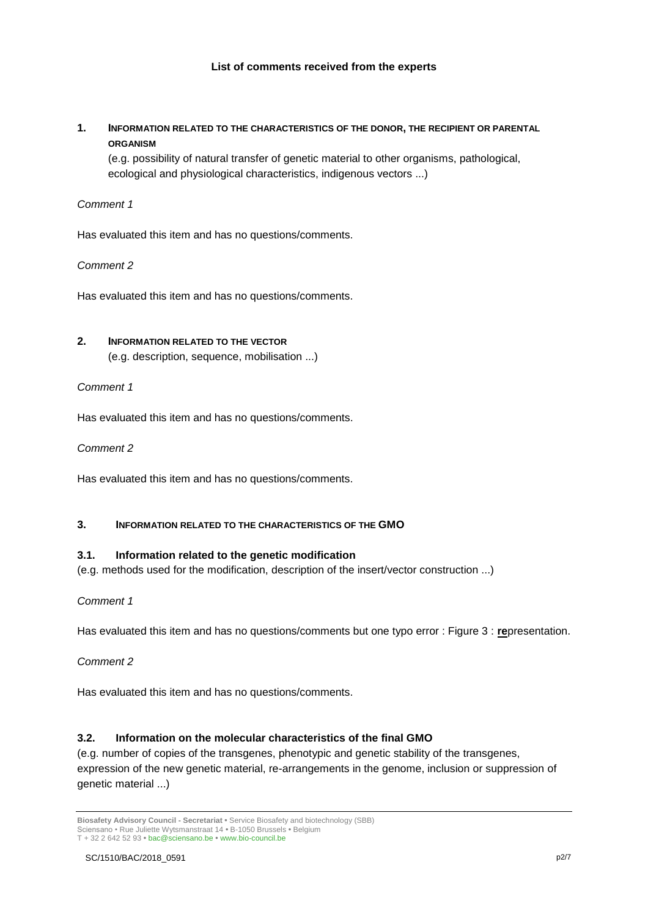**1. INFORMATION RELATED TO THE CHARACTERISTICS OF THE DONOR, THE RECIPIENT OR PARENTAL ORGANISM**

(e.g. possibility of natural transfer of genetic material to other organisms, pathological, ecological and physiological characteristics, indigenous vectors ...)

## *Comment 1*

Has evaluated this item and has no questions/comments.

#### *Comment 2*

Has evaluated this item and has no questions/comments.

## **2. INFORMATION RELATED TO THE VECTOR**

(e.g. description, sequence, mobilisation ...)

#### *Comment 1*

Has evaluated this item and has no questions/comments.

*Comment 2* 

Has evaluated this item and has no questions/comments.

## **3. INFORMATION RELATED TO THE CHARACTERISTICS OF THE GMO**

## **3.1. Information related to the genetic modification**

(e.g. methods used for the modification, description of the insert/vector construction ...)

*Comment 1*

Has evaluated this item and has no questions/comments but one typo error : Figure 3 : **re**presentation.

## *Comment 2*

Has evaluated this item and has no questions/comments.

## **3.2. Information on the molecular characteristics of the final GMO**

(e.g. number of copies of the transgenes, phenotypic and genetic stability of the transgenes, expression of the new genetic material, re-arrangements in the genome, inclusion or suppression of genetic material ...)

**Biosafety Advisory Council - Secretariat •** Service Biosafety and biotechnology (SBB) Sciensano • Rue Juliette Wytsmanstraat 14 **•** B-1050 Brussels **•** Belgium T + 32 2 642 52 93 **•** bac@sciensano.be **•** www.bio-council.be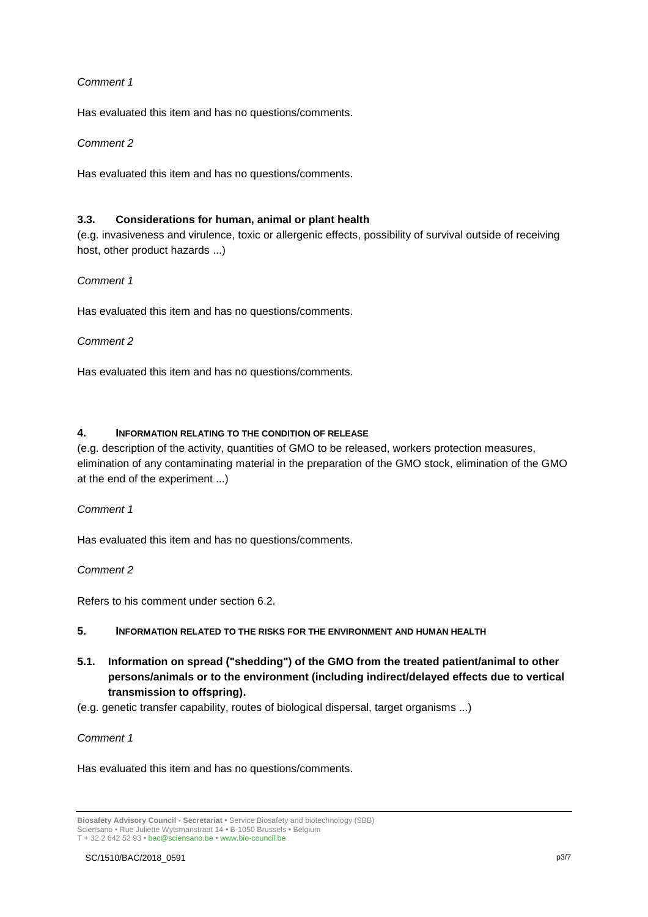## *Comment 1*

Has evaluated this item and has no questions/comments.

### *Comment 2*

Has evaluated this item and has no questions/comments.

### **3.3. Considerations for human, animal or plant health**

(e.g. invasiveness and virulence, toxic or allergenic effects, possibility of survival outside of receiving host, other product hazards ...)

### *Comment 1*

Has evaluated this item and has no questions/comments.

#### *Comment 2*

Has evaluated this item and has no questions/comments.

#### **4. INFORMATION RELATING TO THE CONDITION OF RELEASE**

(e.g. description of the activity, quantities of GMO to be released, workers protection measures, elimination of any contaminating material in the preparation of the GMO stock, elimination of the GMO at the end of the experiment ...)

## *Comment 1*

Has evaluated this item and has no questions/comments.

#### *Comment 2*

Refers to his comment under section 6.2.

#### **5. INFORMATION RELATED TO THE RISKS FOR THE ENVIRONMENT AND HUMAN HEALTH**

**5.1. Information on spread ("shedding") of the GMO from the treated patient/animal to other persons/animals or to the environment (including indirect/delayed effects due to vertical transmission to offspring).**

(e.g. genetic transfer capability, routes of biological dispersal, target organisms ...)

#### *Comment 1*

Has evaluated this item and has no questions/comments.

**Biosafety Advisory Council - Secretariat •** Service Biosafety and biotechnology (SBB) Sciensano • Rue Juliette Wytsmanstraat 14 **•** B-1050 Brussels **•** Belgium T + 32 2 642 52 93 **•** bac@sciensano.be **•** www.bio-council.be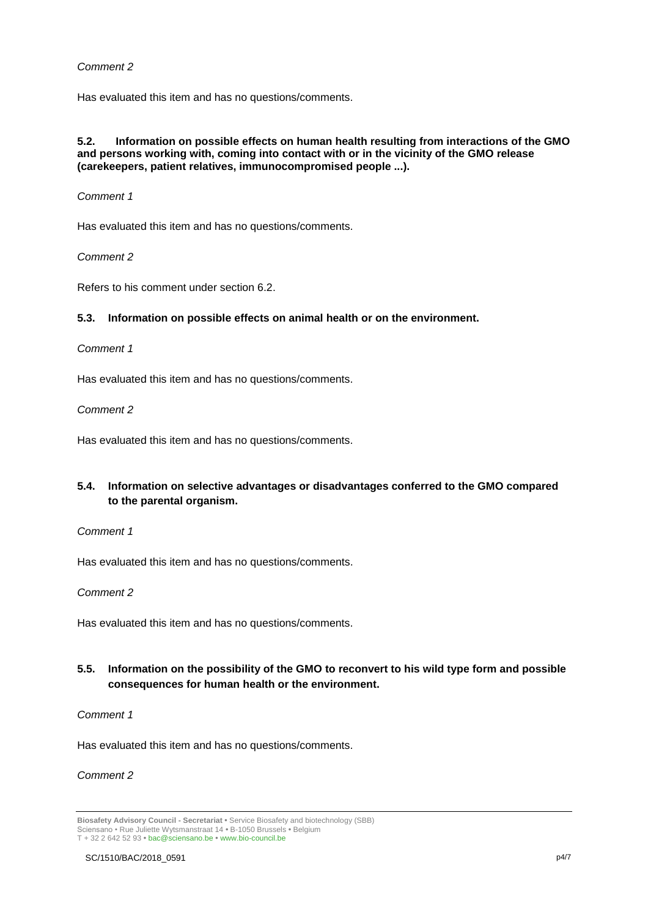## *Comment 2*

Has evaluated this item and has no questions/comments.

#### **5.2. Information on possible effects on human health resulting from interactions of the GMO and persons working with, coming into contact with or in the vicinity of the GMO release (carekeepers, patient relatives, immunocompromised people ...).**

#### *Comment 1*

Has evaluated this item and has no questions/comments.

*Comment 2*

Refers to his comment under section 6.2.

#### **5.3. Information on possible effects on animal health or on the environment.**

#### *Comment 1*

Has evaluated this item and has no questions/comments.

#### *Comment 2*

Has evaluated this item and has no questions/comments.

## **5.4. Information on selective advantages or disadvantages conferred to the GMO compared to the parental organism.**

#### *Comment 1*

Has evaluated this item and has no questions/comments.

#### *Comment 2*

Has evaluated this item and has no questions/comments.

## **5.5. Information on the possibility of the GMO to reconvert to his wild type form and possible consequences for human health or the environment.**

#### *Comment 1*

Has evaluated this item and has no questions/comments.

## *Comment 2*

**Biosafety Advisory Council - Secretariat •** Service Biosafety and biotechnology (SBB) Sciensano • Rue Juliette Wytsmanstraat 14 **•** B-1050 Brussels **•** Belgium T + 32 2 642 52 93 **•** bac@sciensano.be **•** www.bio-council.be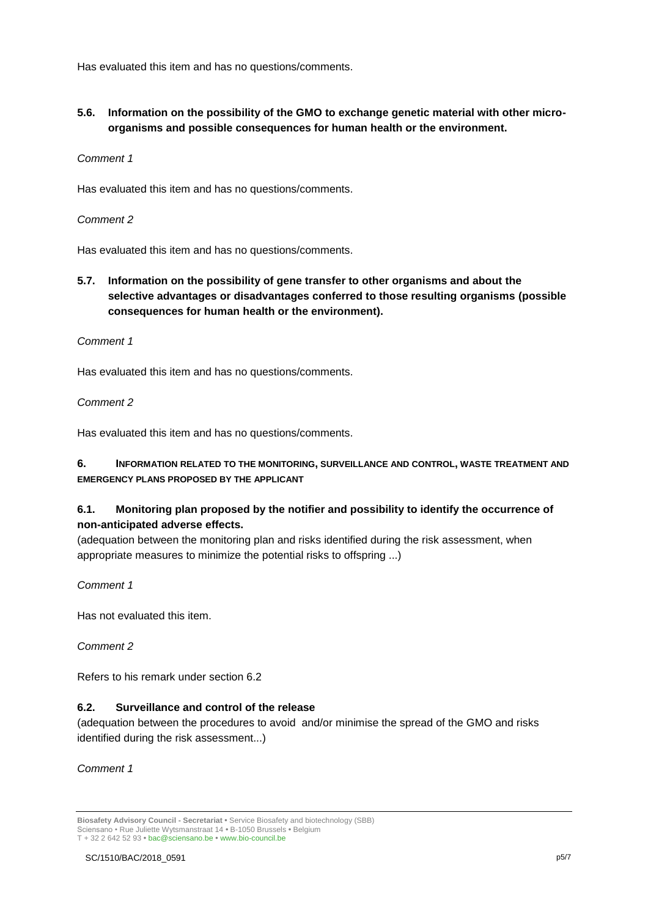Has evaluated this item and has no questions/comments.

**5.6. Information on the possibility of the GMO to exchange genetic material with other microorganisms and possible consequences for human health or the environment.**

### *Comment 1*

Has evaluated this item and has no questions/comments.

#### *Comment 2*

Has evaluated this item and has no questions/comments.

**5.7. Information on the possibility of gene transfer to other organisms and about the selective advantages or disadvantages conferred to those resulting organisms (possible consequences for human health or the environment).**

#### *Comment 1*

Has evaluated this item and has no questions/comments.

### *Comment 2*

Has evaluated this item and has no questions/comments.

## **6. INFORMATION RELATED TO THE MONITORING, SURVEILLANCE AND CONTROL, WASTE TREATMENT AND EMERGENCY PLANS PROPOSED BY THE APPLICANT**

## **6.1. Monitoring plan proposed by the notifier and possibility to identify the occurrence of non-anticipated adverse effects.**

(adequation between the monitoring plan and risks identified during the risk assessment, when appropriate measures to minimize the potential risks to offspring ...)

## *Comment 1*

Has not evaluated this item.

*Comment 2*

Refers to his remark under section 6.2

## **6.2. Surveillance and control of the release**

(adequation between the procedures to avoid and/or minimise the spread of the GMO and risks identified during the risk assessment...)

*Comment 1*

**Biosafety Advisory Council - Secretariat •** Service Biosafety and biotechnology (SBB) Sciensano • Rue Juliette Wytsmanstraat 14 **•** B-1050 Brussels **•** Belgium T + 32 2 642 52 93 **•** bac@sciensano.be **•** www.bio-council.be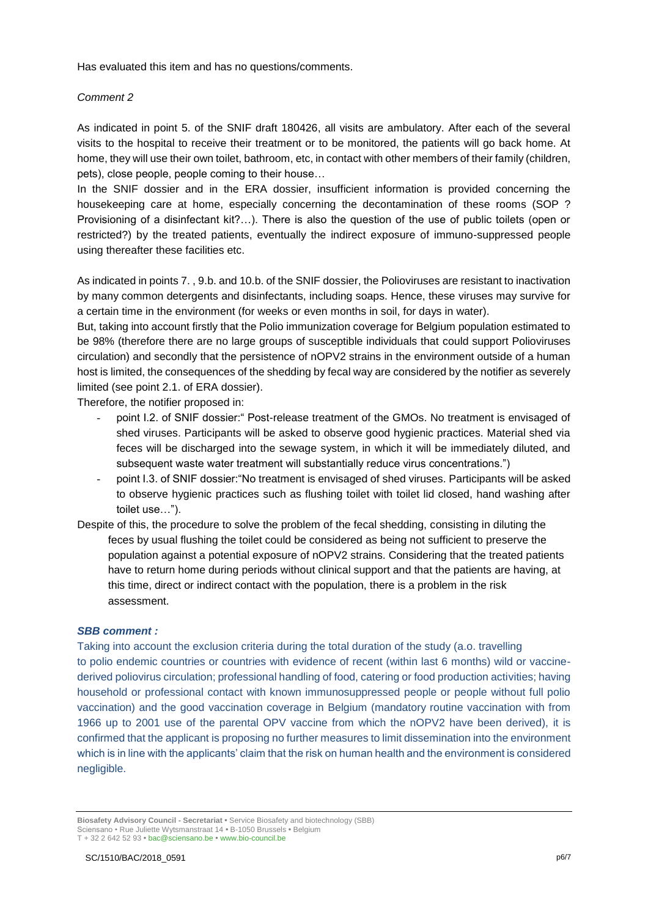Has evaluated this item and has no questions/comments.

#### *Comment 2*

As indicated in point 5. of the SNIF draft 180426, all visits are ambulatory. After each of the several visits to the hospital to receive their treatment or to be monitored, the patients will go back home. At home, they will use their own toilet, bathroom, etc, in contact with other members of their family (children, pets), close people, people coming to their house…

In the SNIF dossier and in the ERA dossier, insufficient information is provided concerning the housekeeping care at home, especially concerning the decontamination of these rooms (SOP ? Provisioning of a disinfectant kit?…). There is also the question of the use of public toilets (open or restricted?) by the treated patients, eventually the indirect exposure of immuno-suppressed people using thereafter these facilities etc.

As indicated in points 7. , 9.b. and 10.b. of the SNIF dossier, the Polioviruses are resistant to inactivation by many common detergents and disinfectants, including soaps. Hence, these viruses may survive for a certain time in the environment (for weeks or even months in soil, for days in water).

But, taking into account firstly that the Polio immunization coverage for Belgium population estimated to be 98% (therefore there are no large groups of susceptible individuals that could support Polioviruses circulation) and secondly that the persistence of nOPV2 strains in the environment outside of a human host is limited, the consequences of the shedding by fecal way are considered by the notifier as severely limited (see point 2.1. of ERA dossier).

Therefore, the notifier proposed in:

- point I.2. of SNIF dossier:" Post-release treatment of the GMOs. No treatment is envisaged of shed viruses. Participants will be asked to observe good hygienic practices. Material shed via feces will be discharged into the sewage system, in which it will be immediately diluted, and subsequent waste water treatment will substantially reduce virus concentrations.")
- point I.3. of SNIF dossier: "No treatment is envisaged of shed viruses. Participants will be asked to observe hygienic practices such as flushing toilet with toilet lid closed, hand washing after toilet use…").
- Despite of this, the procedure to solve the problem of the fecal shedding, consisting in diluting the feces by usual flushing the toilet could be considered as being not sufficient to preserve the population against a potential exposure of nOPV2 strains. Considering that the treated patients have to return home during periods without clinical support and that the patients are having, at this time, direct or indirect contact with the population, there is a problem in the risk assessment.

#### *SBB comment :*

Taking into account the exclusion criteria during the total duration of the study (a.o. travelling to polio endemic countries or countries with evidence of recent (within last 6 months) wild or vaccinederived poliovirus circulation; professional handling of food, catering or food production activities; having household or professional contact with known immunosuppressed people or people without full polio vaccination) and the good vaccination coverage in Belgium (mandatory routine vaccination with from 1966 up to 2001 use of the parental OPV vaccine from which the nOPV2 have been derived), it is confirmed that the applicant is proposing no further measures to limit dissemination into the environment which is in line with the applicants' claim that the risk on human health and the environment is considered negligible.

**Biosafety Advisory Council - Secretariat •** Service Biosafety and biotechnology (SBB) Sciensano • Rue Juliette Wytsmanstraat 14 **•** B-1050 Brussels **•** Belgium T + 32 2 642 52 93 **•** bac@sciensano.be **•** www.bio-council.be